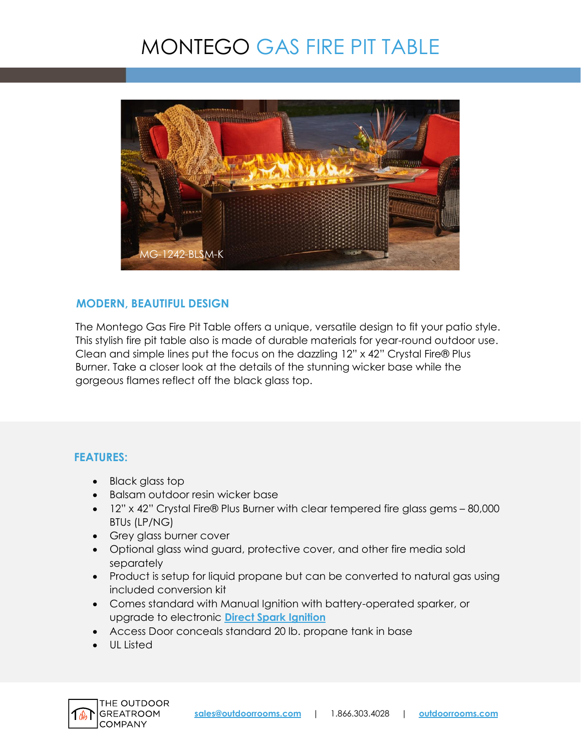# MONTEGO GAS FIRE PIT TABLE



## **MODERN, BEAUTIFUL DESIGN**

The Montego Gas Fire Pit Table offers a unique, versatile design to fit your patio style. This stylish fire pit table also is made of durable materials for year-round outdoor use. Clean and simple lines put the focus on the dazzling 12" x 42" Crystal Fire® Plus Burner. Take a closer look at the details of the stunning wicker base while the gorgeous flames reflect off the black glass top.

### **FEATURES:**

- Black glass top
- Balsam outdoor resin wicker base
- 12" x 42" Crystal Fire® Plus Burner with clear tempered fire glass gems 80,000 BTUs (LP/NG)
- Grey glass burner cover
- Optional glass wind guard, protective cover, and other fire media sold separately
- Product is setup for liquid propane but can be converted to natural gas using included conversion kit
- Comes standard with Manual Ignition with battery-operated sparker, or upgrade to electronic **[Direct Spark Ignition](https://www.outdoorrooms.com/sites/default/files/files/direct-spark-ignition-info-sheet.pdf)**
- Access Door conceals standard 20 lb. propane tank in base
- UL Listed